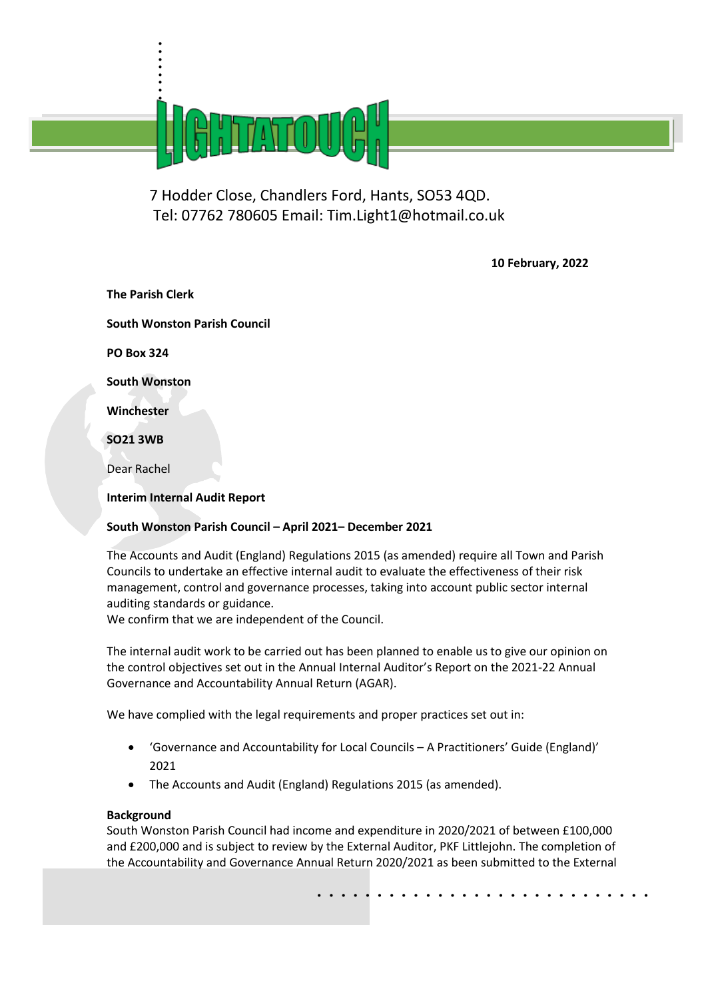

7 Hodder Close, Chandlers Ford, Hants, SO53 4QD. Tel: 07762 780605 Email: Tim.Light1@hotmail.co.uk

**10 February, 2022** 

**The Parish Clerk South Wonston Parish Council PO Box 324 South Wonston Winchester SO21 3WB** Dear Rachel **Interim Internal Audit Report**

. . . . .

# **South Wonston Parish Council – April 2021– December 2021**

The Accounts and Audit (England) Regulations 2015 (as amended) require all Town and Parish Councils to undertake an effective internal audit to evaluate the effectiveness of their risk management, control and governance processes, taking into account public sector internal auditing standards or guidance.

We confirm that we are independent of the Council.

The internal audit work to be carried out has been planned to enable us to give our opinion on the control objectives set out in the Annual Internal Auditor's Report on the 2021-22 Annual Governance and Accountability Annual Return (AGAR).

We have complied with the legal requirements and proper practices set out in:

- 'Governance and Accountability for Local Councils A Practitioners' Guide (England)' 2021
- The Accounts and Audit (England) Regulations 2015 (as amended).

# **Background**

South Wonston Parish Council had income and expenditure in 2020/2021 of between £100,000 and £200,000 and is subject to review by the External Auditor, PKF Littlejohn. The completion of the Accountability and Governance Annual Return 2020/2021 as been submitted to the External

. . . . . . . . . . . . . . . . . . . . . . . . . . . .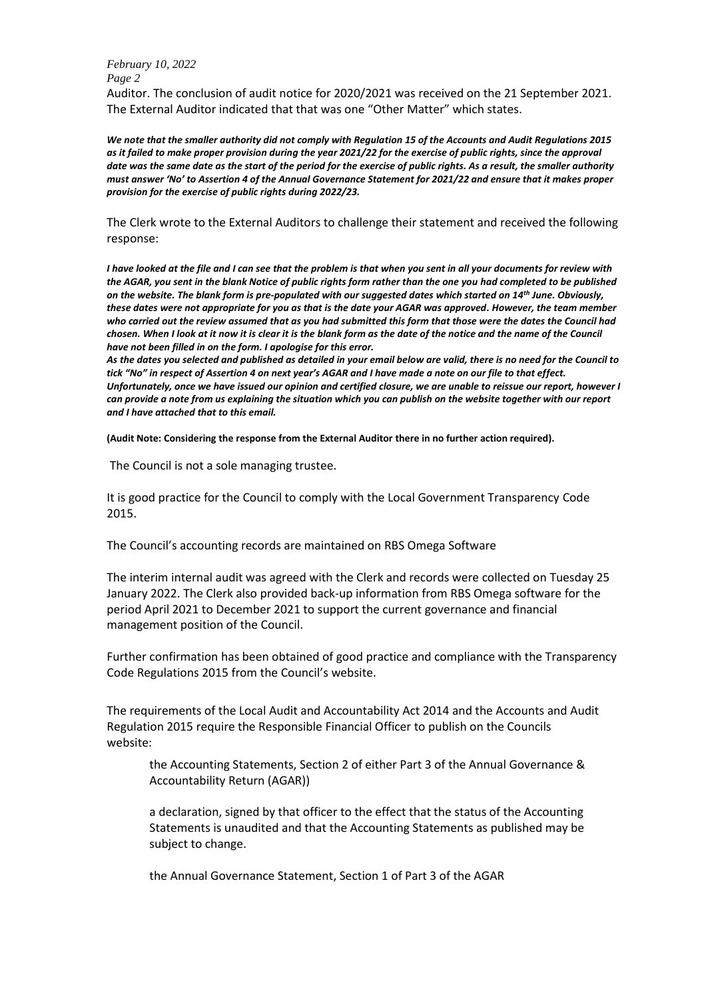Auditor. The conclusion of audit notice for 2020/2021 was received on the 21 September 2021. The External Auditor indicated that that was one "Other Matter" which states.

*We note that the smaller authority did not comply with Regulation 15 of the Accounts and Audit Regulations 2015 as it failed to make proper provision during the year 2021/22 for the exercise of public rights, since the approval date was the same date as the start of the period for the exercise of public rights. As a result, the smaller authority must answer 'No' to Assertion 4 of the Annual Governance Statement for 2021/22 and ensure that it makes proper provision for the exercise of public rights during 2022/23.*

The Clerk wrote to the External Auditors to challenge their statement and received the following response:

*I have looked at the file and I can see that the problem is that when you sent in all your documents for review with the AGAR, you sent in the blank Notice of public rights form rather than the one you had completed to be published on the website. The blank form is pre-populated with our suggested dates which started on 14th June. Obviously, these dates were not appropriate for you as that is the date your AGAR was approved. However, the team member who carried out the review assumed that as you had submitted this form that those were the dates the Council had chosen. When I look at it now it is clear it is the blank form as the date of the notice and the name of the Council have not been filled in on the form. I apologise for this error.*

*As the dates you selected and published as detailed in your email below are valid, there is no need for the Council to tick "No" in respect of Assertion 4 on next year's AGAR and I have made a note on our file to that effect. Unfortunately, once we have issued our opinion and certified closure, we are unable to reissue our report, however I can provide a note from us explaining the situation which you can publish on the website together with our report and I have attached that to this email.*

**(Audit Note: Considering the response from the External Auditor there in no further action required).**

The Council is not a sole managing trustee.

It is good practice for the Council to comply with the Local Government Transparency Code 2015.

The Council's accounting records are maintained on RBS Omega Software

The interim internal audit was agreed with the Clerk and records were collected on Tuesday 25 January 2022. The Clerk also provided back-up information from RBS Omega software for the period April 2021 to December 2021 to support the current governance and financial management position of the Council.

Further confirmation has been obtained of good practice and compliance with the Transparency Code Regulations 2015 from the Council's website.

The requirements of the Local Audit and Accountability Act 2014 and the Accounts and Audit Regulation 2015 require the Responsible Financial Officer to publish on the Councils website:

the Accounting Statements, Section 2 of either Part 3 of the Annual Governance & Accountability Return (AGAR))

a declaration, signed by that officer to the effect that the status of the Accounting Statements is unaudited and that the Accounting Statements as published may be subject to change.

the Annual Governance Statement, Section 1 of Part 3 of the AGAR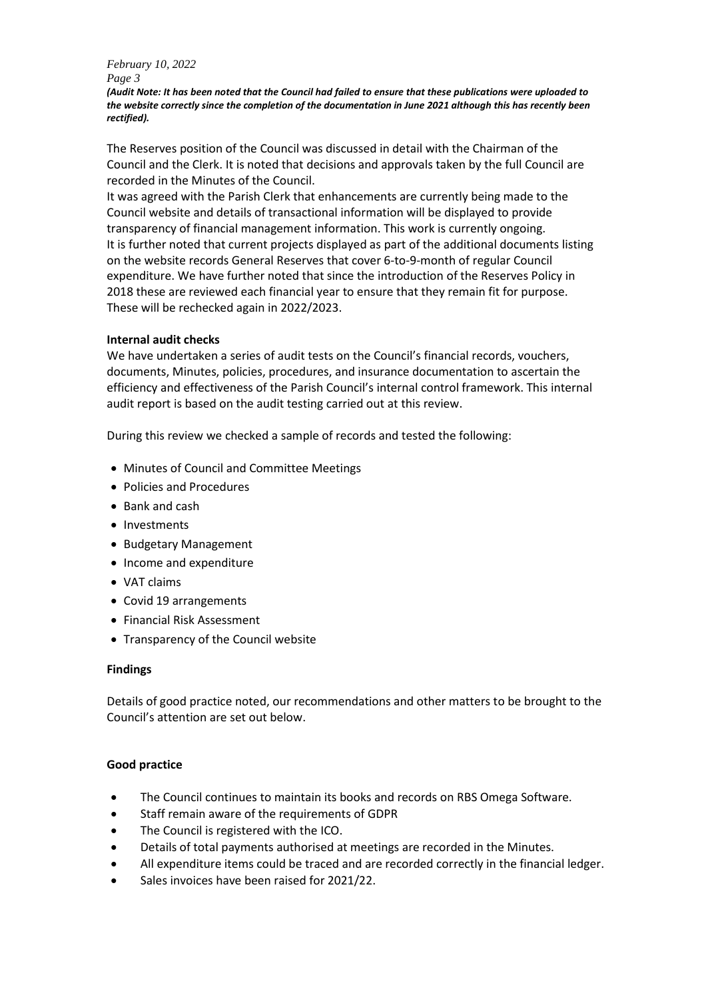*(Audit Note: It has been noted that the Council had failed to ensure that these publications were uploaded to the website correctly since the completion of the documentation in June 2021 although this has recently been rectified).*

The Reserves position of the Council was discussed in detail with the Chairman of the Council and the Clerk. It is noted that decisions and approvals taken by the full Council are recorded in the Minutes of the Council.

It was agreed with the Parish Clerk that enhancements are currently being made to the Council website and details of transactional information will be displayed to provide transparency of financial management information. This work is currently ongoing. It is further noted that current projects displayed as part of the additional documents listing on the website records General Reserves that cover 6-to-9-month of regular Council expenditure. We have further noted that since the introduction of the Reserves Policy in 2018 these are reviewed each financial year to ensure that they remain fit for purpose. These will be rechecked again in 2022/2023.

# **Internal audit checks**

We have undertaken a series of audit tests on the Council's financial records, vouchers, documents, Minutes, policies, procedures, and insurance documentation to ascertain the efficiency and effectiveness of the Parish Council's internal control framework. This internal audit report is based on the audit testing carried out at this review.

During this review we checked a sample of records and tested the following:

- Minutes of Council and Committee Meetings
- Policies and Procedures
- Bank and cash
- Investments
- Budgetary Management
- Income and expenditure
- VAT claims
- Covid 19 arrangements
- Financial Risk Assessment
- Transparency of the Council website

## **Findings**

Details of good practice noted, our recommendations and other matters to be brought to the Council's attention are set out below.

## **Good practice**

- The Council continues to maintain its books and records on RBS Omega Software.
- Staff remain aware of the requirements of GDPR
- The Council is registered with the ICO.
- Details of total payments authorised at meetings are recorded in the Minutes.
- All expenditure items could be traced and are recorded correctly in the financial ledger.
- Sales invoices have been raised for 2021/22.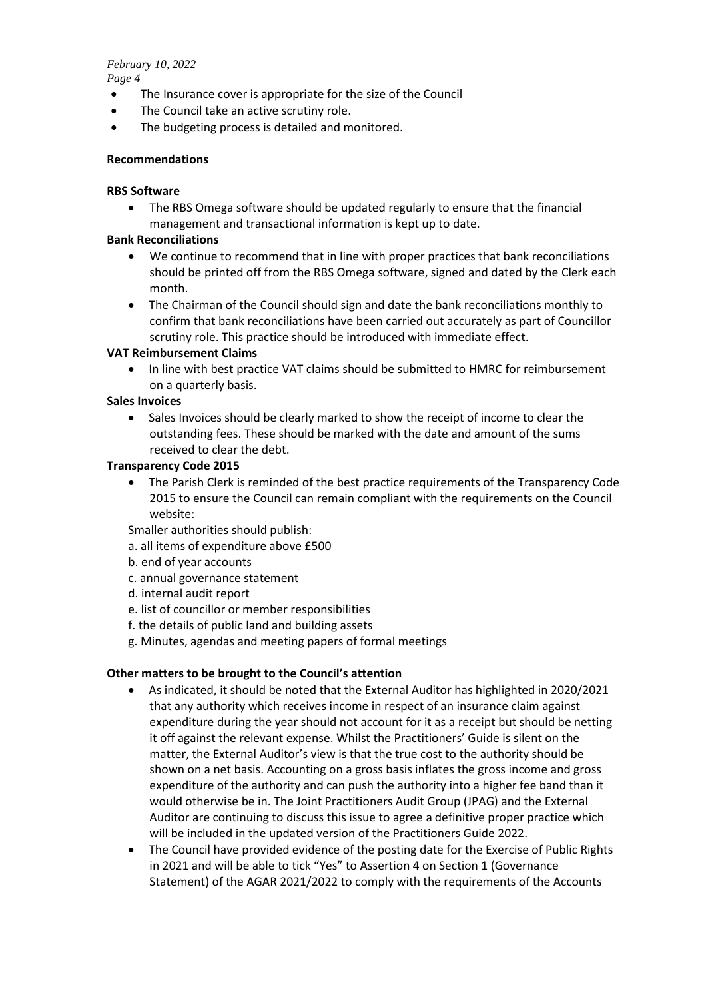- The Insurance cover is appropriate for the size of the Council
- The Council take an active scrutiny role.
- The budgeting process is detailed and monitored.

## **Recommendations**

### **RBS Software**

• The RBS Omega software should be updated regularly to ensure that the financial management and transactional information is kept up to date.

### **Bank Reconciliations**

- We continue to recommend that in line with proper practices that bank reconciliations should be printed off from the RBS Omega software, signed and dated by the Clerk each month.
- The Chairman of the Council should sign and date the bank reconciliations monthly to confirm that bank reconciliations have been carried out accurately as part of Councillor scrutiny role. This practice should be introduced with immediate effect.

### **VAT Reimbursement Claims**

• In line with best practice VAT claims should be submitted to HMRC for reimbursement on a quarterly basis.

### **Sales Invoices**

• Sales Invoices should be clearly marked to show the receipt of income to clear the outstanding fees. These should be marked with the date and amount of the sums received to clear the debt.

### **Transparency Code 2015**

• The Parish Clerk is reminded of the best practice requirements of the Transparency Code 2015 to ensure the Council can remain compliant with the requirements on the Council website:

Smaller authorities should publish:

- a. all items of expenditure above £500
- b. end of year accounts
- c. annual governance statement
- d. internal audit report
- e. list of councillor or member responsibilities
- f. the details of public land and building assets
- g. Minutes, agendas and meeting papers of formal meetings

## **Other matters to be brought to the Council's attention**

- As indicated, it should be noted that the External Auditor has highlighted in 2020/2021 that any authority which receives income in respect of an insurance claim against expenditure during the year should not account for it as a receipt but should be netting it off against the relevant expense. Whilst the Practitioners' Guide is silent on the matter, the External Auditor's view is that the true cost to the authority should be shown on a net basis. Accounting on a gross basis inflates the gross income and gross expenditure of the authority and can push the authority into a higher fee band than it would otherwise be in. The Joint Practitioners Audit Group (JPAG) and the External Auditor are continuing to discuss this issue to agree a definitive proper practice which will be included in the updated version of the Practitioners Guide 2022.
- The Council have provided evidence of the posting date for the Exercise of Public Rights in 2021 and will be able to tick "Yes" to Assertion 4 on Section 1 (Governance Statement) of the AGAR 2021/2022 to comply with the requirements of the Accounts